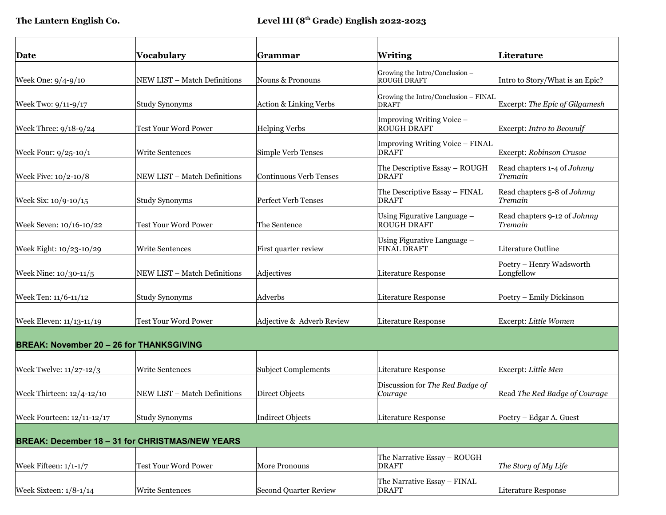| Date                                            | Vocabulary                                             | Grammar                   | Writing                                              | Literature                              |
|-------------------------------------------------|--------------------------------------------------------|---------------------------|------------------------------------------------------|-----------------------------------------|
| Week One: 9/4-9/10                              | NEW LIST - Match Definitions                           | Nouns & Pronouns          | Growing the Intro/Conclusion -<br>ROUGH DRAFT        | Intro to Story/What is an Epic?         |
| Week Two: 9/11-9/17                             | Study Synonyms                                         | Action & Linking Verbs    | Growing the Intro/Conclusion - FINAL<br><b>DRAFT</b> | Excerpt: The Epic of Gilgamesh          |
| Week Three: 9/18-9/24                           | <b>Test Your Word Power</b>                            | <b>Helping Verbs</b>      | Improving Writing Voice -<br><b>ROUGH DRAFT</b>      | Excerpt: Intro to Beowulf               |
| Week Four: 9/25-10/1                            | Write Sentences                                        | Simple Verb Tenses        | Improving Writing Voice - FINAL<br><b>DRAFT</b>      | Excerpt: Robinson Crusoe                |
| Week Five: 10/2-10/8                            | NEW LIST - Match Definitions                           | Continuous Verb Tenses    | The Descriptive Essay - ROUGH<br>DRAFT               | Read chapters 1-4 of Johnny<br>Tremain  |
| Week Six: 10/9-10/15                            | Study Synonyms                                         | Perfect Verb Tenses       | The Descriptive Essay - FINAL<br>DRAFT               | Read chapters 5-8 of Johnny<br>Tremain  |
| Week Seven: 10/16-10/22                         | <b>Test Your Word Power</b>                            | The Sentence              | Using Figurative Language -<br><b>ROUGH DRAFT</b>    | Read chapters 9-12 of Johnny<br>Tremain |
| Week Eight: 10/23-10/29                         | <b>Write Sentences</b>                                 | First quarter review      | Using Figurative Language -<br><b>FINAL DRAFT</b>    | Literature Outline                      |
| Week Nine: 10/30-11/5                           | NEW LIST – Match Definitions                           | Adjectives                | Literature Response                                  | Poetry - Henry Wadsworth<br>Longfellow  |
| Week Ten: 11/6-11/12                            | <b>Study Synonyms</b>                                  | Adverbs                   | Literature Response                                  | Poetry - Emily Dickinson                |
| Week Eleven: 11/13-11/19                        | <b>Test Your Word Power</b>                            | Adjective & Adverb Review | Literature Response                                  | Excerpt: Little Women                   |
| <b>BREAK: November 20 - 26 for THANKSGIVING</b> |                                                        |                           |                                                      |                                         |
| Week Twelve: 11/27-12/3                         | <b>Write Sentences</b>                                 | Subject Complements       | Literature Response                                  | Excerpt: Little Men                     |
| Week Thirteen: 12/4-12/10                       | NEW LIST – Match Definitions                           | Direct Objects            | Discussion for The Red Badge of<br>Courage           | Read The Red Badge of Courage           |
| Week Fourteen: 12/11-12/17                      | Study Synonyms                                         | Indirect Objects          | Literature Response                                  | Poetry - Edgar A. Guest                 |
|                                                 | <b>BREAK: December 18 - 31 for CHRISTMAS/NEW YEARS</b> |                           |                                                      |                                         |
| Week Fifteen: 1/1-1/7                           | Test Your Word Power                                   | More Pronouns             | The Narrative Essay - ROUGH<br><b>DRAFT</b>          | The Story of My Life                    |
| Week Sixteen: $1/8-1/14$                        | Write Sentences                                        | Second Quarter Review     | The Narrative Essay - FINAL<br><b>DRAFT</b>          | Literature Response                     |